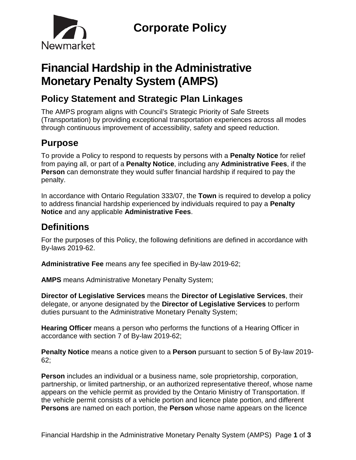

# **Financial Hardship in the Administrative Monetary Penalty System (AMPS)**

# **Policy Statement and Strategic Plan Linkages**

The AMPS program aligns with Council's Strategic Priority of Safe Streets (Transportation) by providing exceptional transportation experiences across all modes through continuous improvement of accessibility, safety and speed reduction.

# **Purpose**

To provide a Policy to respond to requests by persons with a **Penalty Notice** for relief from paying all, or part of a **Penalty Notice**, including any **Administrative Fees**, if the **Person** can demonstrate they would suffer financial hardship if required to pay the penalty.

In accordance with Ontario Regulation 333/07, the **Town** is required to develop a policy to address financial hardship experienced by individuals required to pay a **Penalty Notice** and any applicable **Administrative Fees**.

# **Definitions**

For the purposes of this Policy, the following definitions are defined in accordance with By-laws 2019-62.

**Administrative Fee** means any fee specified in By-law 2019-62;

**AMPS** means Administrative Monetary Penalty System;

**Director of Legislative Services** means the **Director of Legislative Services**, their delegate, or anyone designated by the **Director of Legislative Services** to perform duties pursuant to the Administrative Monetary Penalty System;

**Hearing Officer** means a person who performs the functions of a Hearing Officer in accordance with section 7 of By-law 2019-62;

**Penalty Notice** means a notice given to a **Person** pursuant to section 5 of By-law 2019- 62;

**Person** includes an individual or a business name, sole proprietorship, corporation, partnership, or limited partnership, or an authorized representative thereof, whose name appears on the vehicle permit as provided by the Ontario Ministry of Transportation. If the vehicle permit consists of a vehicle portion and licence plate portion, and different **Persons** are named on each portion, the **Person** whose name appears on the licence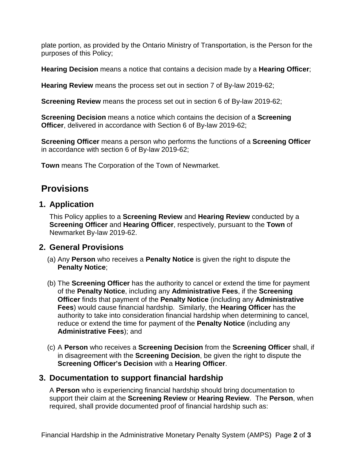plate portion, as provided by the Ontario Ministry of Transportation, is the Person for the purposes of this Policy;

**Hearing Decision** means a notice that contains a decision made by a **Hearing Officer**;

**Hearing Review** means the process set out in section 7 of By-law 2019-62;

**Screening Review** means the process set out in section 6 of By-law 2019-62;

**Screening Decision** means a notice which contains the decision of a **Screening Officer**, delivered in accordance with Section 6 of By-law 2019-62;

**Screening Officer** means a person who performs the functions of a **Screening Officer**  in accordance with section 6 of By-law 2019-62;

**Town** means The Corporation of the Town of Newmarket.

### **Provisions**

#### **1. Application**

This Policy applies to a **Screening Review** and **Hearing Review** conducted by a **Screening Officer** and **Hearing Officer**, respectively, pursuant to the **Town** of Newmarket By-law 2019-62.

#### **2. General Provisions**

- (a) Any **Person** who receives a **Penalty Notice** is given the right to dispute the **Penalty Notice**;
- (b) The **Screening Officer** has the authority to cancel or extend the time for payment of the **Penalty Notice**, including any **Administrative Fees**, if the **Screening Officer** finds that payment of the **Penalty Notice** (including any **Administrative Fees**) would cause financial hardship. Similarly, the **Hearing Officer** has the authority to take into consideration financial hardship when determining to cancel, reduce or extend the time for payment of the **Penalty Notice** (including any **Administrative Fees**); and
- (c) A **Person** who receives a **Screening Decision** from the **Screening Officer** shall, if in disagreement with the **Screening Decision**, be given the right to dispute the **Screening Officer's Decision** with a **Hearing Officer**.

#### **3. Documentation to support financial hardship**

A **Person** who is experiencing financial hardship should bring documentation to support their claim at the **Screening Review** or **Hearing Review**. The **Person**, when required, shall provide documented proof of financial hardship such as: